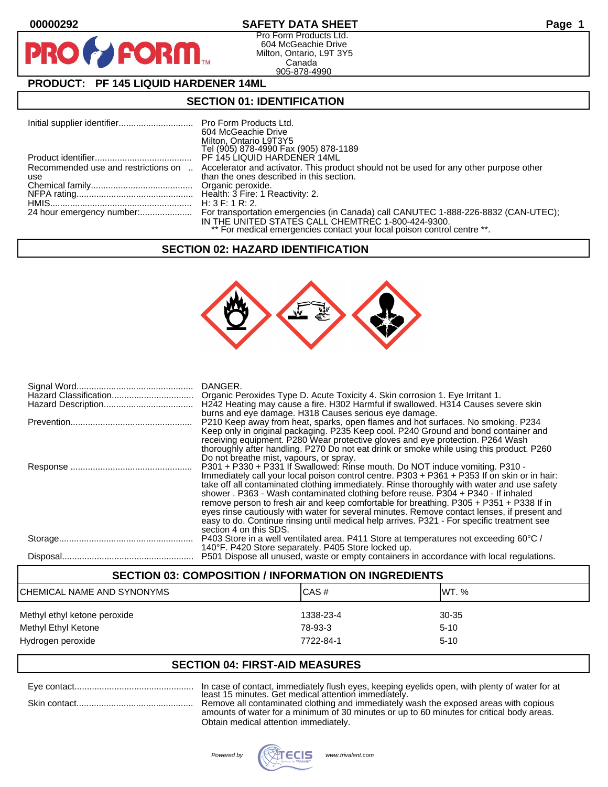# **00000292 SAFETY DATA SHEET Page 1**

Pro Form Products Ltd. 604 McGeachie Drive Milton, Ontario, L9T 3Y5 Canada 905-878-4990

# **PRODUCT: PF 145 LIQUID HARDENER 14ML**

**FORM.** 

# **SECTION 01: IDENTIFICATION**

|                                            | 604 McGeachie Drive<br>Milton, Ontario L9T3Y5<br>Tel (905) 878-4990 Fax (905) 878-1189                                             |
|--------------------------------------------|------------------------------------------------------------------------------------------------------------------------------------|
|                                            | PF 145 LIQUID HARDENER 14ML                                                                                                        |
| Recommended use and restrictions on<br>use | Accelerator and activator. This product should not be used for any other purpose other<br>than the ones described in this section. |
|                                            | H: 3 F: 1 R: 2.                                                                                                                    |
|                                            | IN THE UNITED STATES CALL CHEMTREC 1-800-424-9300.<br>** For medical emergencies contact your local poison control centre **.      |

# **SECTION 02: HAZARD IDENTIFICATION**



| DANGER.<br>H242 Heating may cause a fire. H302 Harmful if swallowed. H314 Causes severe skin<br>burns and eye damage. H318 Causes serious eye damage.                                                                                                                                                                                                                                                                                                                                                                                                                                                                                                                             |
|-----------------------------------------------------------------------------------------------------------------------------------------------------------------------------------------------------------------------------------------------------------------------------------------------------------------------------------------------------------------------------------------------------------------------------------------------------------------------------------------------------------------------------------------------------------------------------------------------------------------------------------------------------------------------------------|
| P210 Keep away from heat, sparks, open flames and hot surfaces. No smoking. P234<br>Keep only in original packaging. P235 Keep cool. P240 Ground and bond container and<br>receiving equipment. P280 Wear protective gloves and eye protection. P264 Wash<br>thoroughly after handling. P270 Do not eat drink or smoke while using this product. P260<br>Do not breathe mist, vapours, or spray.                                                                                                                                                                                                                                                                                  |
| P301 + P330 + P331 If Swallowed: Rinse mouth. Do NOT induce vomiting. P310 -<br>Immediately call your local poison control centre. P303 + P361 + P353 If on skin or in hair:<br>take off all contaminated clothing immediately. Rinse thoroughly with water and use safety<br>shower . P363 - Wash contaminated clothing before reuse. P304 + P340 - If inhaled<br>remove person to fresh air and keep comfortable for breathing. P305 + P351 + P338 If in<br>eyes rinse cautiously with water for several minutes. Remove contact lenses, if present and<br>easy to do. Continue rinsing until medical help arrives. P321 - For specific treatment see<br>section 4 on this SDS. |
| P403 Store in a well ventilated area. P411 Store at temperatures not exceeding 60°C /<br>140°F. P420 Store separately. P405 Store locked up.                                                                                                                                                                                                                                                                                                                                                                                                                                                                                                                                      |
| P501 Dispose all unused, waste or empty containers in accordance with local regulations.                                                                                                                                                                                                                                                                                                                                                                                                                                                                                                                                                                                          |

## **SECTION 03: COMPOSITION / INFORMATION ON INGREDIENTS**

| ICHEMICAL NAME AND SYNONYMS                         | ICAS#                | <b>IWT.</b> %     |
|-----------------------------------------------------|----------------------|-------------------|
| Methyl ethyl ketone peroxide<br>Methyl Ethyl Ketone | 1338-23-4<br>78-93-3 | 30-35<br>$5 - 10$ |
| Hydrogen peroxide                                   | 7722-84-1            | $5 - 10$          |

## **SECTION 04: FIRST-AID MEASURES**

Eye contact................................................ In case of contact, immediately flush eyes, keeping eyelids open, with plenty of water for at least 15 minutes. Get medical attention immediately.

Skin contact............................................... Remove all contaminated clothing and immediately wash the exposed areas with copious amounts of water for a minimum of 30 minutes or up to 60 minutes for critical body areas. Obtain medical attention immediately.

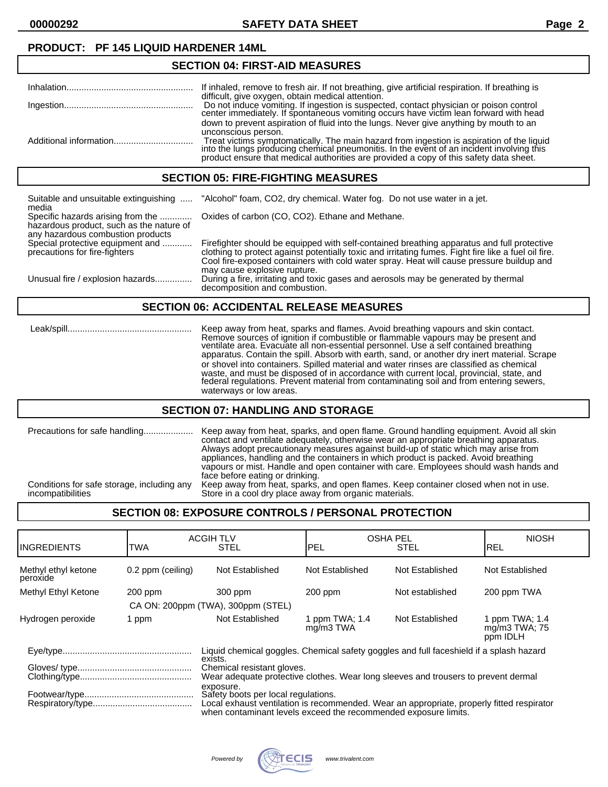# **PRODUCT: PF 145 LIQUID HARDENER 14ML**

### **SECTION 04: FIRST-AID MEASURES** Inhalation................................................... If inhaled, remove to fresh air. If not breathing, give artificial respiration. If breathing is difficult, give oxygen, obtain medical attention. Ingestion.................................................... Do not induce vomiting. If ingestion is suspected, contact physician or poison control center immediately. If spontaneous vomiting occurs have victim lean forward with head down to prevent aspiration of fluid into the lungs. Never give anything by mouth to an unconscious person. Additional information................................ Treat victims symptomatically. The main hazard from ingestion is aspiration of the liquid into the lungs producing chemical pneumonitis. In the event of an incident involving this product ensure that medical authorities are provided a copy of this safety data sheet.

## **SECTION 05: FIRE-FIGHTING MEASURES**

| Suitable and unsuitable extinguishing<br>media                                                                     | "Alcohol" foam, CO2, dry chemical. Water fog. Do not use water in a jet.                                                                                                                                                                                                                                                       |
|--------------------------------------------------------------------------------------------------------------------|--------------------------------------------------------------------------------------------------------------------------------------------------------------------------------------------------------------------------------------------------------------------------------------------------------------------------------|
| Specific hazards arising from the<br>hazardous product, such as the nature of<br>any hazardous combustion products | Oxides of carbon (CO, CO2). Ethane and Methane.                                                                                                                                                                                                                                                                                |
| Special protective equipment and<br>precautions for fire-fighters                                                  | Firefighter should be equipped with self-contained breathing apparatus and full protective<br>clothing to protect against potentially toxic and irritating fumes. Fight fire like a fuel oil fire.<br>Cool fire-exposed containers with cold water spray. Heat will cause pressure buildup and<br>may cause explosive rupture. |
| Unusual fire / explosion hazards                                                                                   | During a fire, irritating and toxic gases and aerosols may be generated by thermal<br>decomposition and combustion.                                                                                                                                                                                                            |

# **SECTION 06: ACCIDENTAL RELEASE MEASURES**

 Leak/spill.................................................. Keep away from heat, sparks and flames. Avoid breathing vapours and skin contact. Remove sources of ignition if combustible or flammable vapours may be present and ventilate area. Evacuate all non-essential personnel. Use a self contained breathing apparatus. Contain the spill. Absorb with earth, sand, or another dry inert material. Scrape or shovel into containers. Spilled material and water rinses are classified as chemical waste, and must be disposed of in accordance with current local, provincial, state, and federal regulations. Prevent material from contaminating soil and from entering sewers, waterways or low areas.

## **SECTION 07: HANDLING AND STORAGE**

# **SECTION 08: EXPOSURE CONTROLS / PERSONAL PROTECTION**

| <b>INGREDIENTS</b>              | TWA               | <b>ACGIH TLV</b><br><b>STEL</b>                                                                                                                                                                     | <b>PEL</b>                  | <b>OSHA PEL</b><br><b>STEL</b> | <b>NIOSH</b><br>REL                         |
|---------------------------------|-------------------|-----------------------------------------------------------------------------------------------------------------------------------------------------------------------------------------------------|-----------------------------|--------------------------------|---------------------------------------------|
| Methyl ethyl ketone<br>peroxide | 0.2 ppm (ceiling) | Not Established                                                                                                                                                                                     | Not Established             | Not Established                | Not Established                             |
| Methyl Ethyl Ketone             | $200$ ppm         | 300 ppm                                                                                                                                                                                             | $200$ ppm                   | Not established                | 200 ppm TWA                                 |
|                                 |                   | CA ON: 200ppm (TWA), 300ppm (STEL)                                                                                                                                                                  |                             |                                |                                             |
| Hydrogen peroxide               | 1 ppm             | Not Established                                                                                                                                                                                     | 1 ppm TWA; 1.4<br>mg/m3 TWA | Not Established                | 1 ppm TWA; 1.4<br>mg/m3 TWA; 75<br>ppm IDLH |
|                                 |                   | Liquid chemical goggles. Chemical safety goggles and full faceshield if a splash hazard<br>exists.                                                                                                  |                             |                                |                                             |
|                                 |                   | Chemical resistant gloves.<br>Wear adequate protective clothes. Wear long sleeves and trousers to prevent dermal                                                                                    |                             |                                |                                             |
| exposure.                       |                   | Safety boots per local regulations.<br>Local exhaust ventilation is recommended. Wear an appropriate, properly fitted respirator<br>when contaminant levels exceed the recommended exposure limits. |                             |                                |                                             |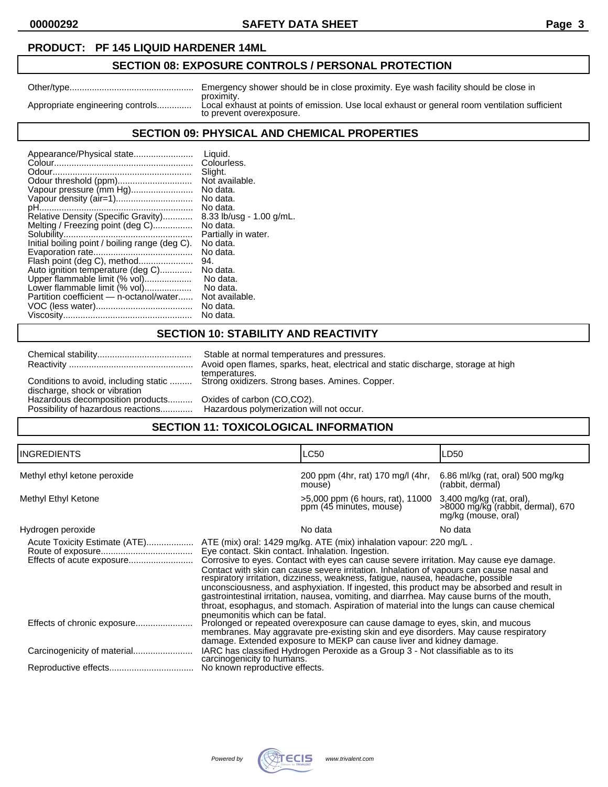**00000292 SAFETY DATA SHEET Page 3**

## **PRODUCT: PF 145 LIQUID HARDENER 14ML**

# **SECTION 08: EXPOSURE CONTROLS / PERSONAL PROTECTION**

|                                  | Emergency shower should be in close proximity. Eye wash facility should be close in                                       |
|----------------------------------|---------------------------------------------------------------------------------------------------------------------------|
|                                  | proximity.                                                                                                                |
| Appropriate engineering controls | Local exhaust at points of emission. Use local exhaust or general room ventilation sufficient<br>to prevent overexposure. |
|                                  |                                                                                                                           |

# **SECTION 09: PHYSICAL AND CHEMICAL PROPERTIES**

| Appearance/Physical state                      | Liquid.                  |
|------------------------------------------------|--------------------------|
|                                                | Colourless.              |
|                                                | Slight.                  |
| Odour threshold (ppm)                          | Not available.           |
| Vapour pressure (mm Hg)                        | No data.                 |
| Vapour density (air=1)                         | No data.                 |
|                                                | No data.                 |
| Relative Density (Specific Gravity)            | 8.33 lb/usg - 1.00 g/mL. |
| Melting / Freezing point (deg C)               | No data.                 |
|                                                | Partially in water.      |
| Initial boiling point / boiling range (deg C). | No data.                 |
|                                                | No data.                 |
| Flash point (deg C), method                    | 94.                      |
| Auto ignition temperature (deg C)              | No data.                 |
| Upper flammable limit (% vol)                  | No data.                 |
| Lower flammable limit (% vol)                  | No data.                 |
| Partition coefficient - n-octanol/water        | Not available.           |
|                                                | No data.                 |
|                                                | No data.                 |

# **SECTION 10: STABILITY AND REACTIVITY**

|                                                                             | Stable at normal temperatures and pressures.                                                            |  |  |
|-----------------------------------------------------------------------------|---------------------------------------------------------------------------------------------------------|--|--|
|                                                                             | Avoid open flames, sparks, heat, electrical and static discharge, storage at high                       |  |  |
| discharge, shock or vibration                                               | temperatures.<br>Conditions to avoid, including static  Strong oxidizers. Strong bases. Amines. Copper. |  |  |
| Hazardous decomposition products                                            | Oxides of carbon (CO,CO2).                                                                              |  |  |
| Possibility of hazardous reactions Hazardous polymerization will not occur. |                                                                                                         |  |  |
| CECTION 44. TOVICOLOGICAL INFORMATION                                       |                                                                                                         |  |  |

## **SECTION 11: TOXICOLOGICAL INFORMATION**

| <b>INGREDIENTS</b>                                         |                                                                                                                                                                                                                                                                                                                                                                                                                                                                                                                                                                                                                                                                                            | LC50                                                        | LD50                                                                                 |
|------------------------------------------------------------|--------------------------------------------------------------------------------------------------------------------------------------------------------------------------------------------------------------------------------------------------------------------------------------------------------------------------------------------------------------------------------------------------------------------------------------------------------------------------------------------------------------------------------------------------------------------------------------------------------------------------------------------------------------------------------------------|-------------------------------------------------------------|--------------------------------------------------------------------------------------|
| Methyl ethyl ketone peroxide                               |                                                                                                                                                                                                                                                                                                                                                                                                                                                                                                                                                                                                                                                                                            | 200 ppm (4hr, rat) 170 mg/l (4hr,<br>mouse)                 | 6.86 ml/kg (rat, oral) 500 mg/kg<br>(rabbit, dermal)                                 |
| Methyl Ethyl Ketone                                        |                                                                                                                                                                                                                                                                                                                                                                                                                                                                                                                                                                                                                                                                                            | >5,000 ppm (6 hours, rat), 11000<br>ppm (45 minutes, mouse) | 3,400 mg/kg (rat, oral),<br>>8000 mg/kg (rabbit, dermal), 670<br>mg/kg (mouse, oral) |
| Hydrogen peroxide                                          |                                                                                                                                                                                                                                                                                                                                                                                                                                                                                                                                                                                                                                                                                            | No data                                                     | No data                                                                              |
| Acute Toxicity Estimate (ATE)<br>Effects of acute exposure | ATE (mix) oral: 1429 mg/kg. ATE (mix) inhalation vapour: 220 mg/L.<br>Eye contact. Skin contact. Inhalation. Ingestion.<br>Corrosive to eyes. Contact with eyes can cause severe irritation. May cause eye damage.<br>Contact with skin can cause severe irritation. Inhalation of vapours can cause nasal and<br>respiratory irritation, dizziness, weakness, fatigue, nausea, headache, possible<br>unconsciousness, and asphyxiation. If ingested, this product may be absorbed and result in<br>gastrointestinal irritation, nausea, vomiting, and diarrhea. May cause burns of the mouth,<br>throat, esophagus, and stomach. Aspiration of material into the lungs can cause chemical |                                                             |                                                                                      |
|                                                            | pneumonitis which can be fatal.<br>Prolonged or repeated overexposure can cause damage to eyes, skin, and mucous<br>membranes. May aggravate pre-existing skin and eye disorders. May cause respiratory<br>damage. Extended exposure to MEKP can cause liver and kidney damage.<br>IARC has classified Hydrogen Peroxide as a Group 3 - Not classifiable as to its<br>carcinogenicity to humans.                                                                                                                                                                                                                                                                                           |                                                             |                                                                                      |
|                                                            |                                                                                                                                                                                                                                                                                                                                                                                                                                                                                                                                                                                                                                                                                            |                                                             |                                                                                      |
|                                                            | No known reproductive effects.                                                                                                                                                                                                                                                                                                                                                                                                                                                                                                                                                                                                                                                             |                                                             |                                                                                      |